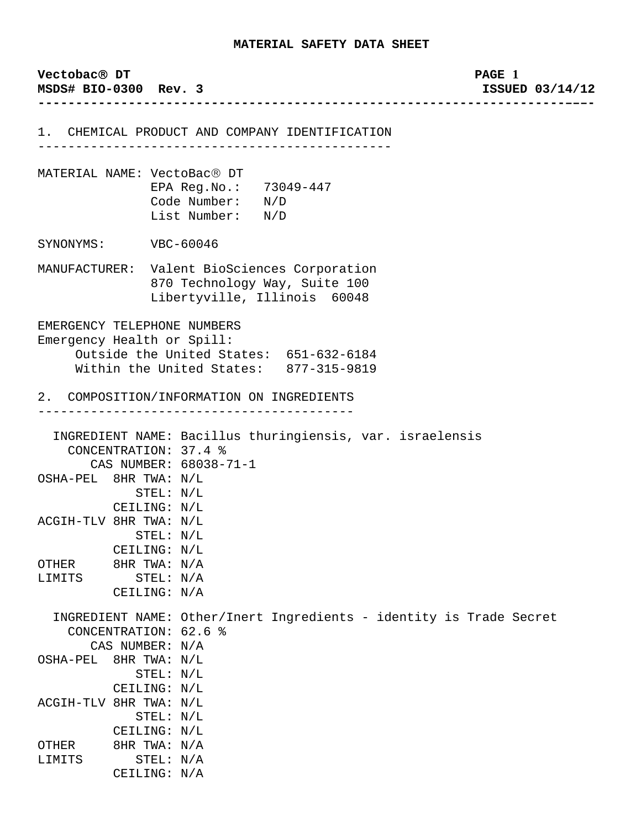| Vectobac <sup>®</sup> DT<br>MSDS# BIO-0300 Rev. 3         |                                                                 |                                                                                                               | PAGE 1<br>ISSUED 03/14/12 |
|-----------------------------------------------------------|-----------------------------------------------------------------|---------------------------------------------------------------------------------------------------------------|---------------------------|
|                                                           |                                                                 | 1. CHEMICAL PRODUCT AND COMPANY IDENTIFICATION                                                                |                           |
| MATERIAL NAME: VectoBac® DT                               |                                                                 | EPA Reg. No.: 73049-447<br>Code Number: N/D<br>List Number: N/D                                               |                           |
| SYNONYMS: VBC-60046                                       |                                                                 |                                                                                                               |                           |
|                                                           |                                                                 | MANUFACTURER: Valent BioSciences Corporation<br>870 Technology Way, Suite 100<br>Libertyville, Illinois 60048 |                           |
| EMERGENCY TELEPHONE NUMBERS<br>Emergency Health or Spill: |                                                                 | Outside the United States: 651-632-6184<br>Within the United States: 877-315-9819                             |                           |
|                                                           |                                                                 | 2. COMPOSITION/INFORMATION ON INGREDIENTS<br>__________________________                                       |                           |
| OSHA-PEL 8HR TWA: N/L<br>ACGIH-TLV 8HR TWA: N/L           | CONCENTRATION: 37.4 %<br>STEL: N/L<br>CEILING: N/L<br>STEL: N/L | INGREDIENT NAME: Bacillus thuringiensis, var. israelensis<br>CAS NUMBER: 68038-71-1                           |                           |
| OTHER<br>LIMITS                                           | CEILING: N/L<br>8HR TWA: N/A<br>STEL: N/A<br>CEILING: N/A       |                                                                                                               |                           |
| CONCENTRATION: 62.6 %<br>CAS NUMBER: N/A                  |                                                                 | INGREDIENT NAME: Other/Inert Ingredients - identity is Trade Secret                                           |                           |
| OSHA-PEL 8HR TWA: N/L                                     | STEL: N/L<br>CEILING: N/L                                       |                                                                                                               |                           |
| ACGIH-TLV 8HR TWA: N/L                                    | STEL: N/L<br>CEILING: N/L                                       |                                                                                                               |                           |
| OTHER                                                     | 8HR TWA: N/A                                                    |                                                                                                               |                           |
| LIMITS                                                    | STEL: N/A                                                       |                                                                                                               |                           |
|                                                           | CEILING: N/A                                                    |                                                                                                               |                           |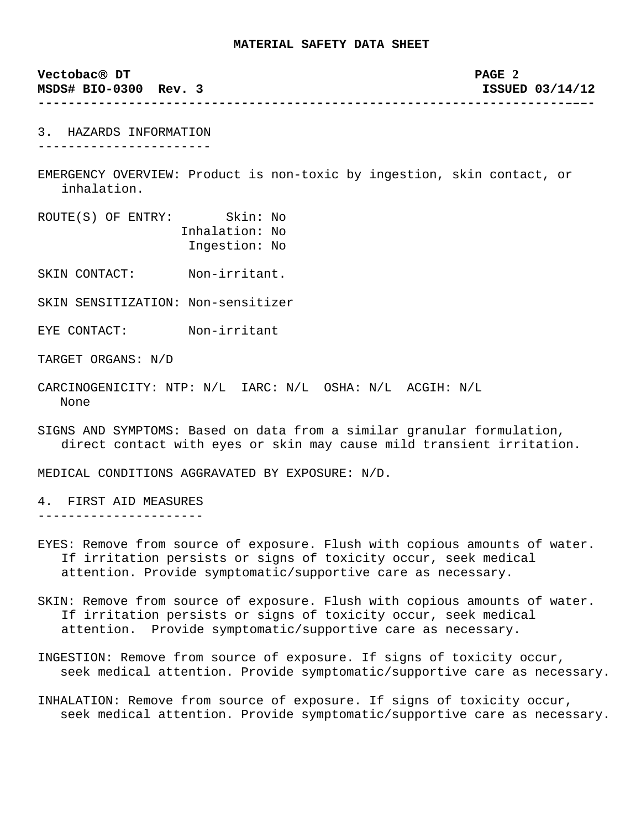**Vectobac**® **DT PAGE 2 MSDS# BIO-0300 Rev. 3 ISSUED 03/14/12 ----------------------------------------------------------------------–––-** 3. HAZARDS INFORMATION ----------------------- EMERGENCY OVERVIEW: Product is non-toxic by ingestion, skin contact, or inhalation. ROUTE(S) OF ENTRY: Skin: No Inhalation: No Ingestion: No

SKIN CONTACT: Non-irritant.

SKIN SENSITIZATION: Non-sensitizer

EYE CONTACT: Non-irritant

TARGET ORGANS: N/D

- CARCINOGENICITY: NTP: N/L IARC: N/L OSHA: N/L ACGIH: N/L None
- SIGNS AND SYMPTOMS: Based on data from a similar granular formulation, direct contact with eyes or skin may cause mild transient irritation.

MEDICAL CONDITIONS AGGRAVATED BY EXPOSURE: N/D.

4. FIRST AID MEASURES ----------------------

- EYES: Remove from source of exposure. Flush with copious amounts of water. If irritation persists or signs of toxicity occur, seek medical attention. Provide symptomatic/supportive care as necessary.
- SKIN: Remove from source of exposure. Flush with copious amounts of water. If irritation persists or signs of toxicity occur, seek medical attention. Provide symptomatic/supportive care as necessary.
- INGESTION: Remove from source of exposure. If signs of toxicity occur, seek medical attention. Provide symptomatic/supportive care as necessary.
- INHALATION: Remove from source of exposure. If signs of toxicity occur, seek medical attention. Provide symptomatic/supportive care as necessary.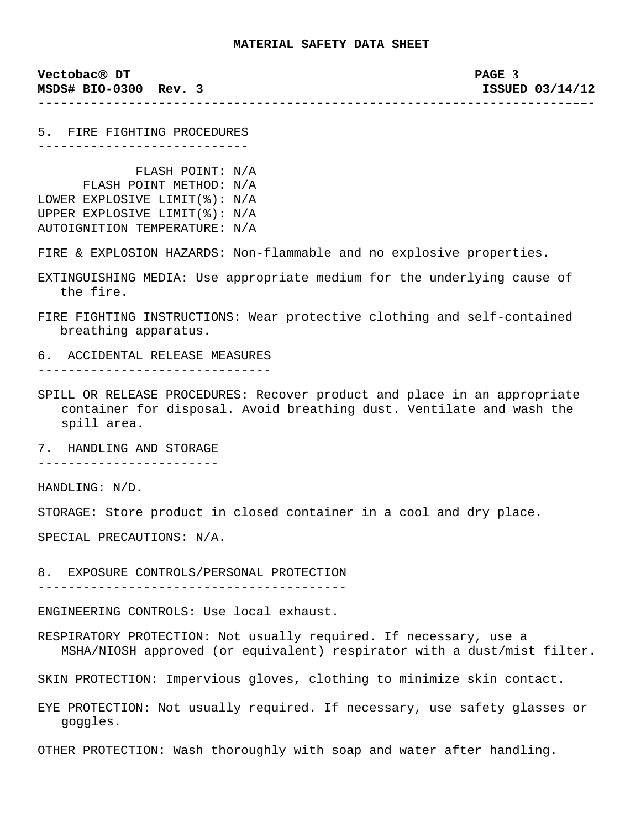**----------------------------------------------------------------------–––-**

**Vectobac**® **DT PAGE 3 MSDS# BIO-0300 Rev. 3 ISSUED 03/14/12** 

5. FIRE FIGHTING PROCEDURES ----------------------------

- FLASH POINT: N/A FLASH POINT METHOD: N/A LOWER EXPLOSIVE LIMIT(%): N/A UPPER EXPLOSIVE LIMIT(%): N/A AUTOIGNITION TEMPERATURE: N/A
- FIRE & EXPLOSION HAZARDS: Non-flammable and no explosive properties.
- EXTINGUISHING MEDIA: Use appropriate medium for the underlying cause of the fire.
- FIRE FIGHTING INSTRUCTIONS: Wear protective clothing and self-contained breathing apparatus.
- 6. ACCIDENTAL RELEASE MEASURES -------------------------------
- SPILL OR RELEASE PROCEDURES: Recover product and place in an appropriate container for disposal. Avoid breathing dust. Ventilate and wash the spill area.

7. HANDLING AND STORAGE

------------------------

HANDLING: N/D.

STORAGE: Store product in closed container in a cool and dry place.

SPECIAL PRECAUTIONS: N/A.

8. EXPOSURE CONTROLS/PERSONAL PROTECTION

-----------------------------------------

ENGINEERING CONTROLS: Use local exhaust.

RESPIRATORY PROTECTION: Not usually required. If necessary, use a MSHA/NIOSH approved (or equivalent) respirator with a dust/mist filter.

SKIN PROTECTION: Impervious gloves, clothing to minimize skin contact.

EYE PROTECTION: Not usually required. If necessary, use safety glasses or goggles.

OTHER PROTECTION: Wash thoroughly with soap and water after handling.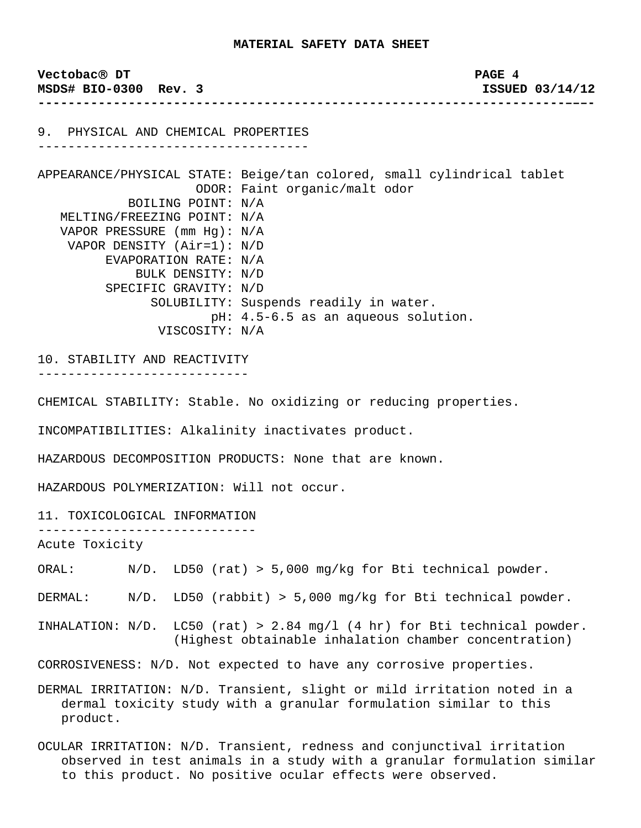**Vectobac**® **DT PAGE 4 MSDS# BIO-0300 Rev. 3 ISSUED 03/14/12 ----------------------------------------------------------------------–––-** 9. PHYSICAL AND CHEMICAL PROPERTIES ------------------------------------ APPEARANCE/PHYSICAL STATE: Beige/tan colored, small cylindrical tablet ODOR: Faint organic/malt odor BOILING POINT: N/A MELTING/FREEZING POINT: N/A VAPOR PRESSURE (mm Hg): N/A VAPOR DENSITY (Air=1): N/D EVAPORATION RATE: N/A BULK DENSITY: N/D SPECIFIC GRAVITY: N/D SOLUBILITY: Suspends readily in water. pH: 4.5-6.5 as an aqueous solution. VISCOSITY: N/A 10. STABILITY AND REACTIVITY ---------------------------- CHEMICAL STABILITY: Stable. No oxidizing or reducing properties.

INCOMPATIBILITIES: Alkalinity inactivates product.

HAZARDOUS DECOMPOSITION PRODUCTS: None that are known.

HAZARDOUS POLYMERIZATION: Will not occur.

11. TOXICOLOGICAL INFORMATION

-----------------------------

Acute Toxicity

ORAL: N/D. LD50 (rat) > 5,000 mg/kg for Bti technical powder.

DERMAL: N/D. LD50 (rabbit) > 5,000 mg/kg for Bti technical powder.

INHALATION:  $N/D$ . LC50 (rat) > 2.84 mg/l (4 hr) for Bti technical powder. (Highest obtainable inhalation chamber concentration)

CORROSIVENESS: N/D. Not expected to have any corrosive properties.

DERMAL IRRITATION: N/D. Transient, slight or mild irritation noted in a dermal toxicity study with a granular formulation similar to this product.

OCULAR IRRITATION: N/D. Transient, redness and conjunctival irritation observed in test animals in a study with a granular formulation similar to this product. No positive ocular effects were observed.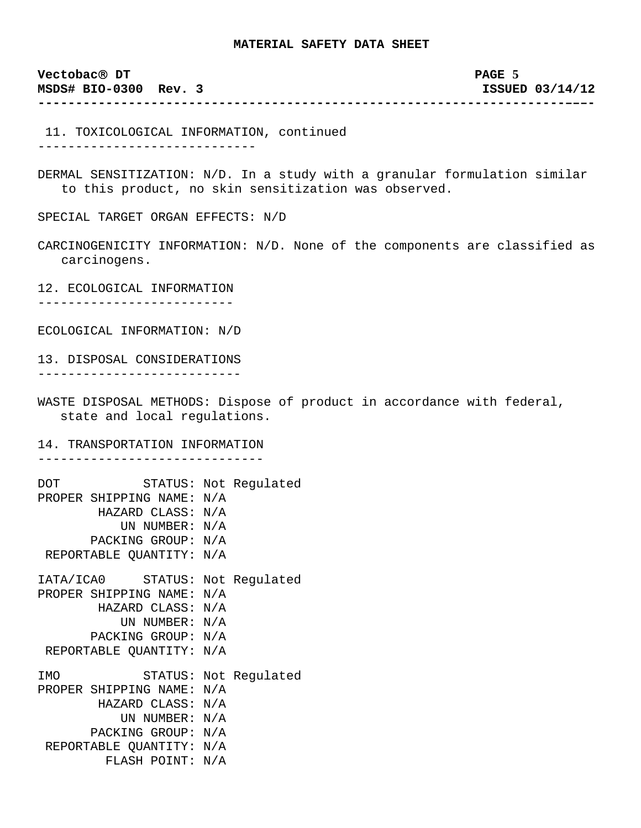**Vectobac**® **DT PAGE 5 MSDS# BIO-0300 Rev. 3 ISSUED 03/14/12 ----------------------------------------------------------------------–––-**

 11. TOXICOLOGICAL INFORMATION, continued -----------------------------

DERMAL SENSITIZATION: N/D. In a study with a granular formulation similar to this product, no skin sensitization was observed.

SPECIAL TARGET ORGAN EFFECTS: N/D

CARCINOGENICITY INFORMATION: N/D. None of the components are classified as carcinogens.

12. ECOLOGICAL INFORMATION --------------------------

ECOLOGICAL INFORMATION: N/D

13. DISPOSAL CONSIDERATIONS ---------------------------

WASTE DISPOSAL METHODS: Dispose of product in accordance with federal, state and local regulations.

14. TRANSPORTATION INFORMATION

------------------------------

| DOT        | STATUS:               |     | Not Regulated         |
|------------|-----------------------|-----|-----------------------|
|            | PROPER SHIPPING NAME: | N/A |                       |
|            | HAZARD CLASS:         | N/A |                       |
|            | UN NUMBER:            | N/A |                       |
|            | PACKING GROUP:        | N/A |                       |
|            | REPORTABLE QUANTITY:  | N/A |                       |
|            | IATA/ICA0 STATUS:     |     | Not Regulated         |
|            | PROPER SHIPPING NAME: | N/A |                       |
|            | HAZARD CLASS:         | N/A |                       |
|            | UN NUMBER: N/A        |     |                       |
|            | PACKING GROUP:        | N/A |                       |
|            | REPORTABLE QUANTITY:  | N/A |                       |
| <b>TMO</b> |                       |     | STATUS: Not Regulated |
|            | PROPER SHIPPING NAME: | N/A |                       |
|            | HAZARD CLASS:         | N/A |                       |
|            | UN NUMBER:            | N/A |                       |
|            | PACKING GROUP:        | N/A |                       |
|            | REPORTABLE QUANTITY:  | N/A |                       |
|            | FLASH POINT:          | N/A |                       |